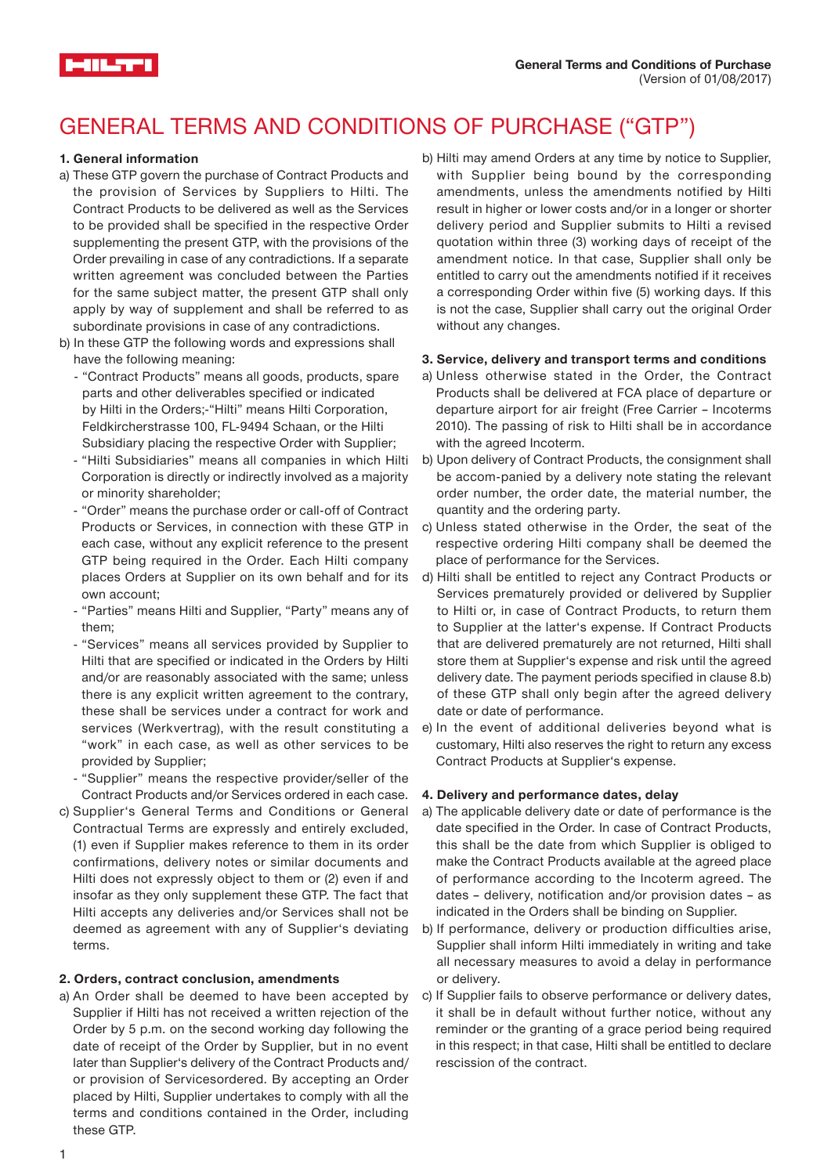# GENERAL TERMS AND CONDITIONS OF PURCHASE ("GTP")

## **1. General information**

-11 1.77

- a) These GTP govern the purchase of Contract Products and the provision of Services by Suppliers to Hilti. The Contract Products to be delivered as well as the Services to be provided shall be specified in the respective Order supplementing the present GTP, with the provisions of the Order prevailing in case of any contradictions. If a separate written agreement was concluded between the Parties for the same subject matter, the present GTP shall only apply by way of supplement and shall be referred to as subordinate provisions in case of any contradictions.
- b) In these GTP the following words and expressions shall have the following meaning:
	- "Contract Products" means all goods, products, spare parts and other deliverables specified or indicated by Hilti in the Orders;-"Hilti" means Hilti Corporation, Feldkircherstrasse 100, FL-9494 Schaan, or the Hilti Subsidiary placing the respective Order with Supplier;
	- "Hilti Subsidiaries" means all companies in which Hilti Corporation is directly or indirectly involved as a majority or minority shareholder;
	- "Order" means the purchase order or call-off of Contract Products or Services, in connection with these GTP in each case, without any explicit reference to the present GTP being required in the Order. Each Hilti company places Orders at Supplier on its own behalf and for its own account;
	- "Parties" means Hilti and Supplier, "Party" means any of them;
	- "Services" means all services provided by Supplier to Hilti that are specified or indicated in the Orders by Hilti and/or are reasonably associated with the same; unless there is any explicit written agreement to the contrary, these shall be services under a contract for work and services (Werkvertrag), with the result constituting a "work" in each case, as well as other services to be provided by Supplier;
	- "Supplier" means the respective provider/seller of the Contract Products and/or Services ordered in each case.
- c) Supplier's General Terms and Conditions or General Contractual Terms are expressly and entirely excluded, (1) even if Supplier makes reference to them in its order confirmations, delivery notes or similar documents and Hilti does not expressly object to them or (2) even if and insofar as they only supplement these GTP. The fact that Hilti accepts any deliveries and/or Services shall not be deemed as agreement with any of Supplier's deviating terms.

#### **2. Orders, contract conclusion, amendments**

a) An Order shall be deemed to have been accepted by Supplier if Hilti has not received a written rejection of the Order by 5 p.m. on the second working day following the date of receipt of the Order by Supplier, but in no event later than Supplier's delivery of the Contract Products and/ or provision of Servicesordered. By accepting an Order placed by Hilti, Supplier undertakes to comply with all the terms and conditions contained in the Order, including these GTP.

b) Hilti may amend Orders at any time by notice to Supplier, with Supplier being bound by the corresponding amendments, unless the amendments notified by Hilti result in higher or lower costs and/or in a longer or shorter delivery period and Supplier submits to Hilti a revised quotation within three (3) working days of receipt of the amendment notice. In that case, Supplier shall only be entitled to carry out the amendments notified if it receives a corresponding Order within five (5) working days. If this is not the case, Supplier shall carry out the original Order without any changes.

#### **3. Service, delivery and transport terms and conditions**

- a) Unless otherwise stated in the Order, the Contract Products shall be delivered at FCA place of departure or departure airport for air freight (Free Carrier – Incoterms 2010). The passing of risk to Hilti shall be in accordance with the agreed Incoterm.
- b) Upon delivery of Contract Products, the consignment shall be accom-panied by a delivery note stating the relevant order number, the order date, the material number, the quantity and the ordering party.
- c) Unless stated otherwise in the Order, the seat of the respective ordering Hilti company shall be deemed the place of performance for the Services.
- d) Hilti shall be entitled to reject any Contract Products or Services prematurely provided or delivered by Supplier to Hilti or, in case of Contract Products, to return them to Supplier at the latter's expense. If Contract Products that are delivered prematurely are not returned, Hilti shall store them at Supplier's expense and risk until the agreed delivery date. The payment periods specified in clause 8.b) of these GTP shall only begin after the agreed delivery date or date of performance.
- e) In the event of additional deliveries beyond what is customary, Hilti also reserves the right to return any excess Contract Products at Supplier's expense.

#### **4. Delivery and performance dates, delay**

- a) The applicable delivery date or date of performance is the date specified in the Order. In case of Contract Products, this shall be the date from which Supplier is obliged to make the Contract Products available at the agreed place of performance according to the Incoterm agreed. The dates – delivery, notification and/or provision dates – as indicated in the Orders shall be binding on Supplier.
- b) If performance, delivery or production difficulties arise, Supplier shall inform Hilti immediately in writing and take all necessary measures to avoid a delay in performance or delivery.
- c) If Supplier fails to observe performance or delivery dates, it shall be in default without further notice, without any reminder or the granting of a grace period being required in this respect; in that case, Hilti shall be entitled to declare rescission of the contract.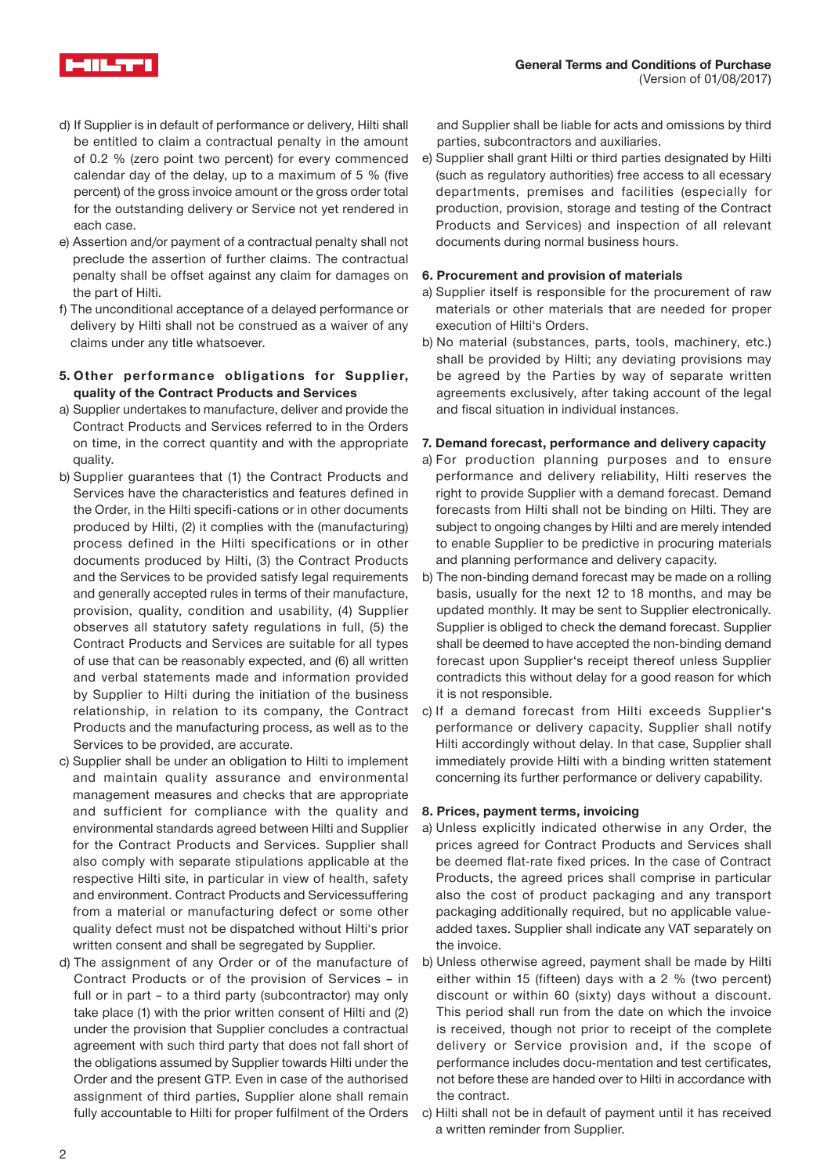

- d) If Supplier is in default of performance or delivery, Hilti shall be entitled to claim a contractual penalty in the amount of 0.2 % (zero point two percent) for every commenced calendar day of the delay, up to a maximum of 5 % (five percent) of the gross invoice amount or the gross order total for the outstanding delivery or Service not yet rendered in each case.
- e) Assertion and/or payment of a contractual penalty shall not preclude the assertion of further claims. The contractual penalty shall be offset against any claim for damages on the part of Hilti.
- f) The unconditional acceptance of a delayed performance or delivery by Hilti shall not be construed as a waiver of any claims under any title whatsoever.
- **5. Other performance obligations for Supplier, quality of the Contract Products and Services**
- a) Supplier undertakes to manufacture, deliver and provide the Contract Products and Services referred to in the Orders on time, in the correct quantity and with the appropriate quality.
- b) Supplier guarantees that (1) the Contract Products and Services have the characteristics and features defined in the Order, in the Hilti specifi-cations or in other documents produced by Hilti, (2) it complies with the (manufacturing) process defined in the Hilti specifications or in other documents produced by Hilti, (3) the Contract Products and the Services to be provided satisfy legal requirements and generally accepted rules in terms of their manufacture, provision, quality, condition and usability, (4) Supplier observes all statutory safety regulations in full, (5) the Contract Products and Services are suitable for all types of use that can be reasonably expected, and (6) all written and verbal statements made and information provided by Supplier to Hilti during the initiation of the business relationship, in relation to its company, the Contract Products and the manufacturing process, as well as to the Services to be provided, are accurate.
- c) Supplier shall be under an obligation to Hilti to implement and maintain quality assurance and environmental management measures and checks that are appropriate and sufficient for compliance with the quality and environmental standards agreed between Hilti and Supplier for the Contract Products and Services. Supplier shall also comply with separate stipulations applicable at the respective Hilti site, in particular in view of health, safety and environment. Contract Products and Servicessuffering from a material or manufacturing defect or some other quality defect must not be dispatched without Hilti's prior written consent and shall be segregated by Supplier.
- d) The assignment of any Order or of the manufacture of Contract Products or of the provision of Services – in full or in part – to a third party (subcontractor) may only take place (1) with the prior written consent of Hilti and (2) under the provision that Supplier concludes a contractual agreement with such third party that does not fall short of the obligations assumed by Supplier towards Hilti under the Order and the present GTP. Even in case of the authorised assignment of third parties, Supplier alone shall remain fully accountable to Hilti for proper fulfilment of the Orders

and Supplier shall be liable for acts and omissions by third parties, subcontractors and auxiliaries.

e) Supplier shall grant Hilti or third parties designated by Hilti (such as regulatory authorities) free access to all ecessary departments, premises and facilities (especially for production, provision, storage and testing of the Contract Products and Services) and inspection of all relevant documents during normal business hours.

# **6. Procurement and provision of materials**

- a) Supplier itself is responsible for the procurement of raw materials or other materials that are needed for proper execution of Hilti's Orders.
- b) No material (substances, parts, tools, machinery, etc.) shall be provided by Hilti; any deviating provisions may be agreed by the Parties by way of separate written agreements exclusively, after taking account of the legal and fiscal situation in individual instances.

# **7. Demand forecast, performance and delivery capacity**

- a) For production planning purposes and to ensure performance and delivery reliability, Hilti reserves the right to provide Supplier with a demand forecast. Demand forecasts from Hilti shall not be binding on Hilti. They are subject to ongoing changes by Hilti and are merely intended to enable Supplier to be predictive in procuring materials and planning performance and delivery capacity.
- b) The non-binding demand forecast may be made on a rolling basis, usually for the next 12 to 18 months, and may be updated monthly. It may be sent to Supplier electronically. Supplier is obliged to check the demand forecast. Supplier shall be deemed to have accepted the non-binding demand forecast upon Supplier's receipt thereof unless Supplier contradicts this without delay for a good reason for which it is not responsible.
- c) If a demand forecast from Hilti exceeds Supplier's performance or delivery capacity, Supplier shall notify Hilti accordingly without delay. In that case, Supplier shall immediately provide Hilti with a binding written statement concerning its further performance or delivery capability.

# **8. Prices, payment terms, invoicing**

- a) Unless explicitly indicated otherwise in any Order, the prices agreed for Contract Products and Services shall be deemed flat-rate fixed prices. In the case of Contract Products, the agreed prices shall comprise in particular also the cost of product packaging and any transport packaging additionally required, but no applicable valueadded taxes. Supplier shall indicate any VAT separately on the invoice.
- b) Unless otherwise agreed, payment shall be made by Hilti either within 15 (fifteen) days with a 2 % (two percent) discount or within 60 (sixty) days without a discount. This period shall run from the date on which the invoice is received, though not prior to receipt of the complete delivery or Service provision and, if the scope of performance includes docu-mentation and test certificates, not before these are handed over to Hilti in accordance with the contract.
- c) Hilti shall not be in default of payment until it has received a written reminder from Supplier.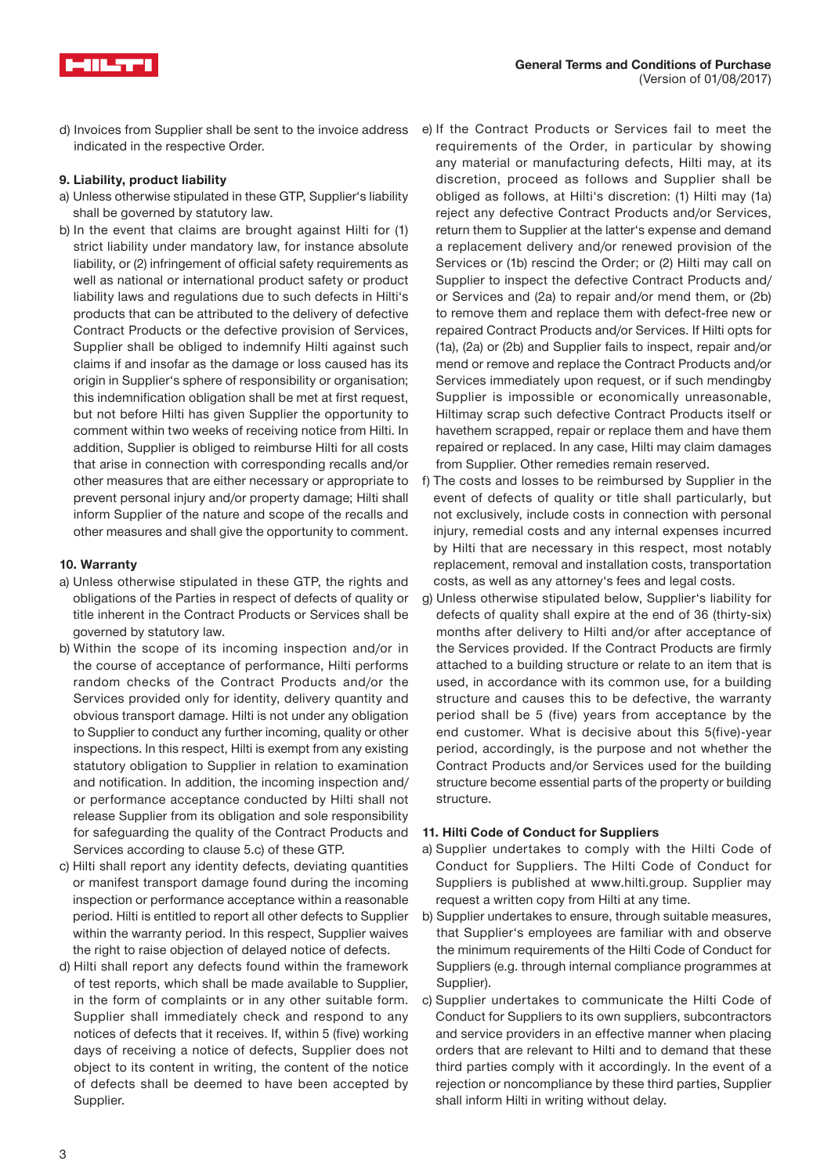

d) Invoices from Supplier shall be sent to the invoice address e) If the Contract Products or Services fail to meet the indicated in the respective Order.

# **9. Liability, product liability**

- a) Unless otherwise stipulated in these GTP, Supplier's liability shall be governed by statutory law.
- b) In the event that claims are brought against Hilti for (1) strict liability under mandatory law, for instance absolute liability, or (2) infringement of official safety requirements as well as national or international product safety or product liability laws and regulations due to such defects in Hilti's products that can be attributed to the delivery of defective Contract Products or the defective provision of Services, Supplier shall be obliged to indemnify Hilti against such claims if and insofar as the damage or loss caused has its origin in Supplier's sphere of responsibility or organisation; this indemnification obligation shall be met at first request, but not before Hilti has given Supplier the opportunity to comment within two weeks of receiving notice from Hilti. In addition, Supplier is obliged to reimburse Hilti for all costs that arise in connection with corresponding recalls and/or other measures that are either necessary or appropriate to prevent personal injury and/or property damage; Hilti shall inform Supplier of the nature and scope of the recalls and other measures and shall give the opportunity to comment.

### **10. Warranty**

- a) Unless otherwise stipulated in these GTP, the rights and obligations of the Parties in respect of defects of quality or title inherent in the Contract Products or Services shall be governed by statutory law.
- b) Within the scope of its incoming inspection and/or in the course of acceptance of performance, Hilti performs random checks of the Contract Products and/or the Services provided only for identity, delivery quantity and obvious transport damage. Hilti is not under any obligation to Supplier to conduct any further incoming, quality or other inspections. In this respect, Hilti is exempt from any existing statutory obligation to Supplier in relation to examination and notification. In addition, the incoming inspection and/ or performance acceptance conducted by Hilti shall not release Supplier from its obligation and sole responsibility for safeguarding the quality of the Contract Products and Services according to clause 5.c) of these GTP.
- c) Hilti shall report any identity defects, deviating quantities or manifest transport damage found during the incoming inspection or performance acceptance within a reasonable period. Hilti is entitled to report all other defects to Supplier within the warranty period. In this respect, Supplier waives the right to raise objection of delayed notice of defects.
- d) Hilti shall report any defects found within the framework of test reports, which shall be made available to Supplier, in the form of complaints or in any other suitable form. Supplier shall immediately check and respond to any notices of defects that it receives. If, within 5 (five) working days of receiving a notice of defects, Supplier does not object to its content in writing, the content of the notice of defects shall be deemed to have been accepted by Supplier.
- requirements of the Order, in particular by showing any material or manufacturing defects, Hilti may, at its discretion, proceed as follows and Supplier shall be obliged as follows, at Hilti's discretion: (1) Hilti may (1a) reject any defective Contract Products and/or Services, return them to Supplier at the latter's expense and demand a replacement delivery and/or renewed provision of the Services or (1b) rescind the Order; or (2) Hilti may call on Supplier to inspect the defective Contract Products and/ or Services and (2a) to repair and/or mend them, or (2b) to remove them and replace them with defect-free new or repaired Contract Products and/or Services. If Hilti opts for (1a), (2a) or (2b) and Supplier fails to inspect, repair and/or mend or remove and replace the Contract Products and/or Services immediately upon request, or if such mendingby Supplier is impossible or economically unreasonable, Hiltimay scrap such defective Contract Products itself or havethem scrapped, repair or replace them and have them repaired or replaced. In any case, Hilti may claim damages from Supplier. Other remedies remain reserved.
- f) The costs and losses to be reimbursed by Supplier in the event of defects of quality or title shall particularly, but not exclusively, include costs in connection with personal injury, remedial costs and any internal expenses incurred by Hilti that are necessary in this respect, most notably replacement, removal and installation costs, transportation costs, as well as any attorney's fees and legal costs.
- g) Unless otherwise stipulated below, Supplier's liability for defects of quality shall expire at the end of 36 (thirty-six) months after delivery to Hilti and/or after acceptance of the Services provided. If the Contract Products are firmly attached to a building structure or relate to an item that is used, in accordance with its common use, for a building structure and causes this to be defective, the warranty period shall be 5 (five) years from acceptance by the end customer. What is decisive about this 5(five)-year period, accordingly, is the purpose and not whether the Contract Products and/or Services used for the building structure become essential parts of the property or building structure.

#### **11. Hilti Code of Conduct for Suppliers**

- a) Supplier undertakes to comply with the Hilti Code of Conduct for Suppliers. The Hilti Code of Conduct for Suppliers is published at www.hilti.group. Supplier may request a written copy from Hilti at any time.
- b) Supplier undertakes to ensure, through suitable measures, that Supplier's employees are familiar with and observe the minimum requirements of the Hilti Code of Conduct for Suppliers (e.g. through internal compliance programmes at Supplier).
- c) Supplier undertakes to communicate the Hilti Code of Conduct for Suppliers to its own suppliers, subcontractors and service providers in an effective manner when placing orders that are relevant to Hilti and to demand that these third parties comply with it accordingly. In the event of a rejection or noncompliance by these third parties, Supplier shall inform Hilti in writing without delay.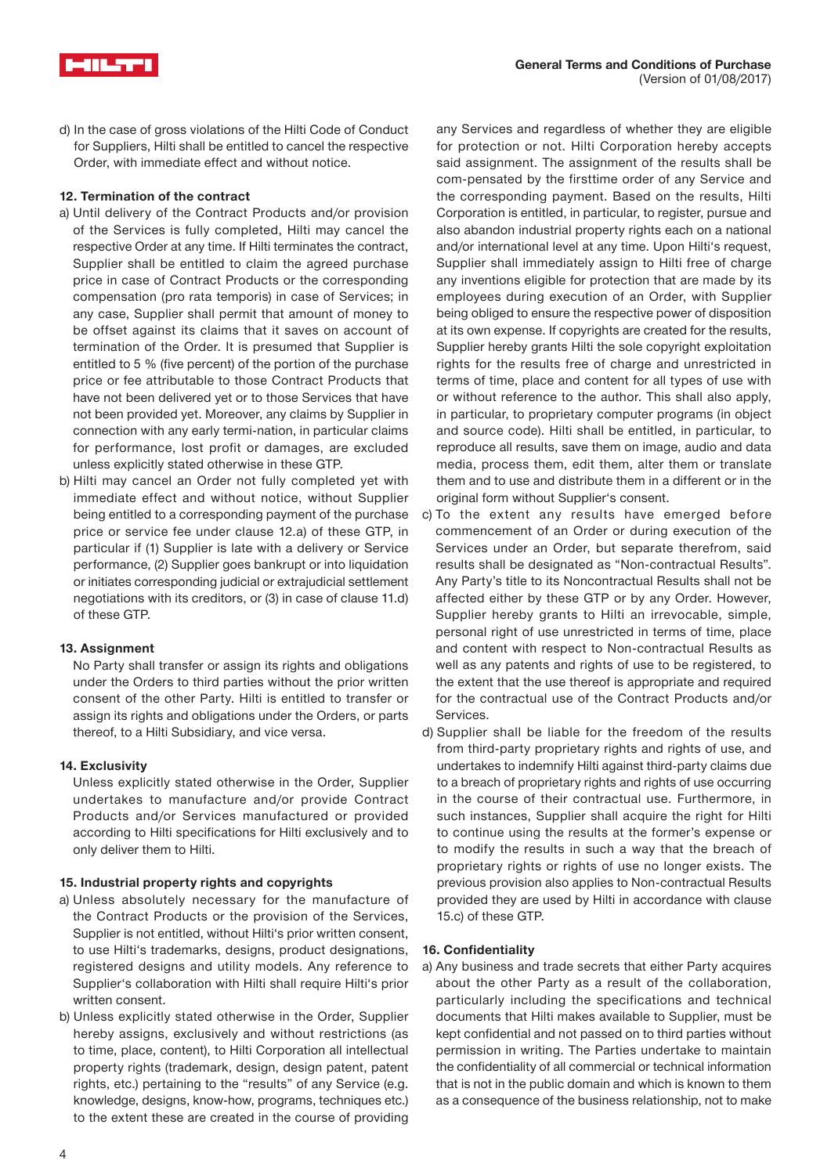

d) In the case of gross violations of the Hilti Code of Conduct for Suppliers, Hilti shall be entitled to cancel the respective Order, with immediate effect and without notice.

# **12. Termination of the contract**

- a) Until delivery of the Contract Products and/or provision of the Services is fully completed, Hilti may cancel the respective Order at any time. If Hilti terminates the contract, Supplier shall be entitled to claim the agreed purchase price in case of Contract Products or the corresponding compensation (pro rata temporis) in case of Services; in any case, Supplier shall permit that amount of money to be offset against its claims that it saves on account of termination of the Order. It is presumed that Supplier is entitled to 5 % (five percent) of the portion of the purchase price or fee attributable to those Contract Products that have not been delivered yet or to those Services that have not been provided yet. Moreover, any claims by Supplier in connection with any early termi-nation, in particular claims for performance, lost profit or damages, are excluded unless explicitly stated otherwise in these GTP.
- b) Hilti may cancel an Order not fully completed yet with immediate effect and without notice, without Supplier being entitled to a corresponding payment of the purchase price or service fee under clause 12.a) of these GTP, in particular if (1) Supplier is late with a delivery or Service performance, (2) Supplier goes bankrupt or into liquidation or initiates corresponding judicial or extrajudicial settlement negotiations with its creditors, or (3) in case of clause 11.d) of these GTP.

#### **13. Assignment**

No Party shall transfer or assign its rights and obligations under the Orders to third parties without the prior written consent of the other Party. Hilti is entitled to transfer or assign its rights and obligations under the Orders, or parts thereof, to a Hilti Subsidiary, and vice versa.

#### **14. Exclusivity**

Unless explicitly stated otherwise in the Order, Supplier undertakes to manufacture and/or provide Contract Products and/or Services manufactured or provided according to Hilti specifications for Hilti exclusively and to only deliver them to Hilti.

# **15. Industrial property rights and copyrights**

- a) Unless absolutely necessary for the manufacture of the Contract Products or the provision of the Services, Supplier is not entitled, without Hilti's prior written consent, to use Hilti's trademarks, designs, product designations, registered designs and utility models. Any reference to Supplier's collaboration with Hilti shall require Hilti's prior written consent.
- b) Unless explicitly stated otherwise in the Order, Supplier hereby assigns, exclusively and without restrictions (as to time, place, content), to Hilti Corporation all intellectual property rights (trademark, design, design patent, patent rights, etc.) pertaining to the "results" of any Service (e.g. knowledge, designs, know-how, programs, techniques etc.) to the extent these are created in the course of providing

any Services and regardless of whether they are eligible for protection or not. Hilti Corporation hereby accepts said assignment. The assignment of the results shall be com-pensated by the firsttime order of any Service and the corresponding payment. Based on the results, Hilti Corporation is entitled, in particular, to register, pursue and also abandon industrial property rights each on a national and/or international level at any time. Upon Hilti's request, Supplier shall immediately assign to Hilti free of charge any inventions eligible for protection that are made by its employees during execution of an Order, with Supplier being obliged to ensure the respective power of disposition at its own expense. If copyrights are created for the results, Supplier hereby grants Hilti the sole copyright exploitation rights for the results free of charge and unrestricted in terms of time, place and content for all types of use with or without reference to the author. This shall also apply, in particular, to proprietary computer programs (in object and source code). Hilti shall be entitled, in particular, to reproduce all results, save them on image, audio and data media, process them, edit them, alter them or translate them and to use and distribute them in a different or in the original form without Supplier's consent.

- c) To the extent any results have emerged before commencement of an Order or during execution of the Services under an Order, but separate therefrom, said results shall be designated as "Non-contractual Results". Any Party's title to its Noncontractual Results shall not be affected either by these GTP or by any Order. However, Supplier hereby grants to Hilti an irrevocable, simple, personal right of use unrestricted in terms of time, place and content with respect to Non-contractual Results as well as any patents and rights of use to be registered, to the extent that the use thereof is appropriate and required for the contractual use of the Contract Products and/or Services.
- d) Supplier shall be liable for the freedom of the results from third-party proprietary rights and rights of use, and undertakes to indemnify Hilti against third-party claims due to a breach of proprietary rights and rights of use occurring in the course of their contractual use. Furthermore, in such instances, Supplier shall acquire the right for Hilti to continue using the results at the former's expense or to modify the results in such a way that the breach of proprietary rights or rights of use no longer exists. The previous provision also applies to Non-contractual Results provided they are used by Hilti in accordance with clause 15.c) of these GTP.

#### **16. Confidentiality**

a) Any business and trade secrets that either Party acquires about the other Party as a result of the collaboration, particularly including the specifications and technical documents that Hilti makes available to Supplier, must be kept confidential and not passed on to third parties without permission in writing. The Parties undertake to maintain the confidentiality of all commercial or technical information that is not in the public domain and which is known to them as a consequence of the business relationship, not to make